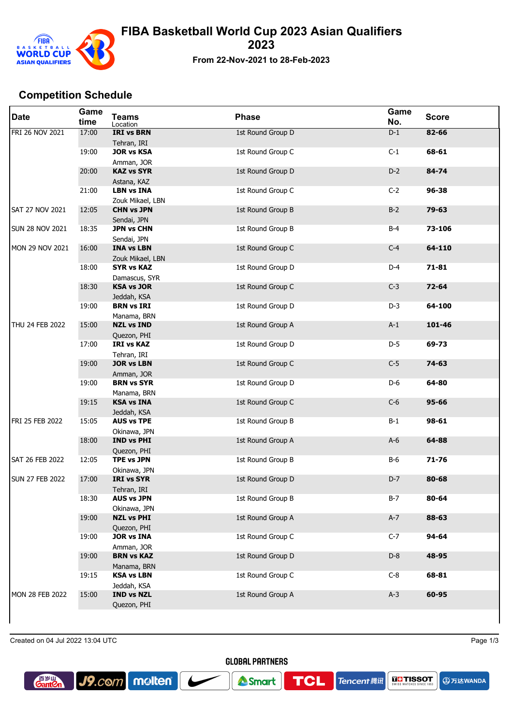

## **FIBA Basketball World Cup 2023 Asian Qualifiers 2023**

**From 22-Nov-2021 to 28-Feb-2023**

## **Competition Schedule**

| <b>Date</b>            | Game<br>time | <b>Teams</b><br>Location              | <b>Phase</b>      | Game<br>No. | <b>Score</b> |
|------------------------|--------------|---------------------------------------|-------------------|-------------|--------------|
| FRI 26 NOV 2021        | 17:00        | <b>IRI vs BRN</b><br>Tehran, IRI      | 1st Round Group D | $D-1$       | 82-66        |
|                        | 19:00        | <b>JOR vs KSA</b><br>Amman, JOR       | 1st Round Group C | $C-1$       | 68-61        |
|                        | 20:00        | <b>KAZ vs SYR</b><br>Astana, KAZ      | 1st Round Group D | $D-2$       | 84-74        |
|                        | 21:00        | <b>LBN vs INA</b><br>Zouk Mikael, LBN | 1st Round Group C | $C-2$       | 96-38        |
| <b>SAT 27 NOV 2021</b> | 12:05        | <b>CHN vs JPN</b><br>Sendai, JPN      | 1st Round Group B | $B-2$       | $79 - 63$    |
| <b>SUN 28 NOV 2021</b> | 18:35        | <b>JPN vs CHN</b><br>Sendai, JPN      | 1st Round Group B | $B-4$       | 73-106       |
| MON 29 NOV 2021        | 16:00        | <b>INA vs LBN</b><br>Zouk Mikael, LBN | 1st Round Group C | $C-4$       | 64-110       |
|                        | 18:00        | <b>SYR vs KAZ</b><br>Damascus, SYR    | 1st Round Group D | $D-4$       | $71 - 81$    |
|                        | 18:30        | <b>KSA vs JOR</b><br>Jeddah, KSA      | 1st Round Group C | $C-3$       | 72-64        |
|                        | 19:00        | <b>BRN vs IRI</b><br>Manama, BRN      | 1st Round Group D | $D-3$       | 64-100       |
| THU 24 FEB 2022        | 15:00        | <b>NZL vs IND</b><br>Quezon, PHI      | 1st Round Group A | $A-1$       | 101-46       |
|                        | 17:00        | <b>IRI vs KAZ</b><br>Tehran, IRI      | 1st Round Group D | D-5         | 69-73        |
|                        | 19:00        | <b>JOR vs LBN</b><br>Amman, JOR       | 1st Round Group C | $C-5$       | 74-63        |
|                        | 19:00        | <b>BRN vs SYR</b><br>Manama, BRN      | 1st Round Group D | D-6         | 64-80        |
|                        | 19:15        | <b>KSA vs INA</b><br>Jeddah, KSA      | 1st Round Group C | $C-6$       | $95 - 66$    |
| <b>FRI 25 FEB 2022</b> | 15:05        | <b>AUS vs TPE</b><br>Okinawa, JPN     | 1st Round Group B | $B-1$       | 98-61        |
|                        | 18:00        | <b>IND vs PHI</b><br>Quezon, PHI      | 1st Round Group A | $A-6$       | 64-88        |
| SAT 26 FEB 2022        | 12:05        | <b>TPE vs JPN</b><br>Okinawa, JPN     | 1st Round Group B | <b>B-6</b>  | $71 - 76$    |
| <b>SUN 27 FEB 2022</b> | 17:00        | <b>IRI vs SYR</b><br>Tehran, IRI      | 1st Round Group D | D-7         | 80-68        |
|                        | 18:30        | <b>AUS vs JPN</b><br>Okinawa, JPN     | 1st Round Group B | $B-7$       | 80-64        |
|                        | 19:00        | <b>NZL vs PHI</b><br>Quezon, PHI      | 1st Round Group A | $A-7$       | 88-63        |
|                        | 19:00        | <b>JOR vs INA</b><br>Amman, JOR       | 1st Round Group C | $C-7$       | 94-64        |
|                        | 19:00        | <b>BRN vs KAZ</b><br>Manama, BRN      | 1st Round Group D | $D-8$       | 48-95        |
|                        | 19:15        | <b>KSA vs LBN</b><br>Jeddah, KSA      | 1st Round Group C | $C-8$       | 68-81        |
| MON 28 FEB 2022        | 15:00        | <b>IND vs NZL</b><br>Quezon, PHI      | 1st Round Group A | $A-3$       | 60-95        |
|                        |              |                                       |                   |             |              |

Created on 04 Jul 2022 13:04 UTC Page 1/3

J9.com molten



**TCL** 

Smart

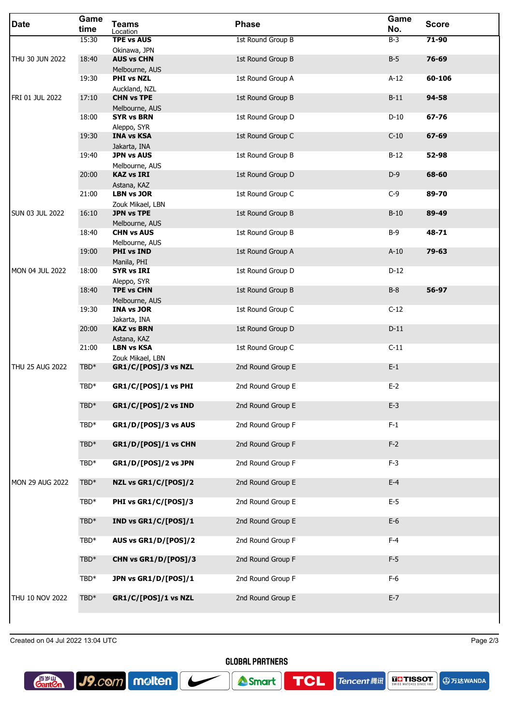| <b>Date</b>            | Game<br>time | <b>Teams</b><br>Location                        | <b>Phase</b>      | Game<br>No. | <b>Score</b> |
|------------------------|--------------|-------------------------------------------------|-------------------|-------------|--------------|
|                        | 15:30        | <b>TPE vs AUS</b>                               | 1st Round Group B | $B-3$       | 71-90        |
| THU 30 JUN 2022        | 18:40        | Okinawa, JPN<br><b>AUS vs CHN</b>               | 1st Round Group B | $B-5$       | 76-69        |
|                        | 19:30        | Melbourne, AUS<br><b>PHI vs NZL</b>             | 1st Round Group A | $A-12$      | 60-106       |
|                        |              | Auckland, NZL                                   |                   |             |              |
| FRI 01 JUL 2022        | 17:10        | <b>CHN vs TPE</b><br>Melbourne, AUS             | 1st Round Group B | $B-11$      | 94-58        |
|                        | 18:00        | <b>SYR vs BRN</b>                               | 1st Round Group D | $D-10$      | 67-76        |
|                        | 19:30        | Aleppo, SYR<br><b>INA vs KSA</b>                | 1st Round Group C | $C-10$      | $67 - 69$    |
|                        | 19:40        | Jakarta, INA<br><b>JPN vs AUS</b>               | 1st Round Group B | $B-12$      | 52-98        |
|                        |              | Melbourne, AUS                                  |                   |             |              |
|                        | 20:00        | <b>KAZ vs IRI</b><br>Astana, KAZ                | 1st Round Group D | $D-9$       | 68-60        |
|                        | 21:00        | <b>LBN vs JOR</b>                               | 1st Round Group C | $C-9$       | 89-70        |
| <b>SUN 03 JUL 2022</b> | 16:10        | Zouk Mikael, LBN<br><b>JPN vs TPE</b>           | 1st Round Group B | $B-10$      | 89-49        |
|                        | 18:40        | Melbourne, AUS<br><b>CHN vs AUS</b>             | 1st Round Group B | $B-9$       | 48-71        |
|                        |              | Melbourne, AUS                                  |                   |             |              |
|                        | 19:00        | <b>PHI vs IND</b><br>Manila, PHI                | 1st Round Group A | $A-10$      | 79-63        |
| MON 04 JUL 2022        | 18:00        | <b>SYR vs IRI</b>                               | 1st Round Group D | $D-12$      |              |
|                        | 18:40        | Aleppo, SYR<br><b>TPE vs CHN</b>                | 1st Round Group B | $B-8$       | 56-97        |
|                        | 19:30        | Melbourne, AUS<br><b>INA vs JOR</b>             | 1st Round Group C | $C-12$      |              |
|                        |              | Jakarta, INA                                    |                   |             |              |
|                        | 20:00        | <b>KAZ vs BRN</b><br>Astana, KAZ                | 1st Round Group D | $D-11$      |              |
|                        | 21:00        | <b>LBN vs KSA</b>                               | 1st Round Group C | $C-11$      |              |
| THU 25 AUG 2022        | TBD*         | Zouk Mikael, LBN<br><b>GR1/C/[POS]/3 vs NZL</b> | 2nd Round Group E | $E-1$       |              |
|                        | TBD*         | GR1/C/[POS]/1 vs PHI                            | 2nd Round Group E | $E-2$       |              |
|                        |              |                                                 |                   |             |              |
|                        | $TBD*$       | GR1/C/[POS]/2 vs IND                            | 2nd Round Group E | $E-3$       |              |
|                        | TBD*         | GR1/D/[POS]/3 vs AUS                            | 2nd Round Group F | $F-1$       |              |
|                        | $TBD*$       | GR1/D/[POS]/1 vs CHN                            | 2nd Round Group F | $F-2$       |              |
|                        | TBD*         | GR1/D/[POS]/2 vs JPN                            | 2nd Round Group F | $F-3$       |              |
| <b>MON 29 AUG 2022</b> | $TBD*$       | NZL vs GR1/C/[POS]/2                            | 2nd Round Group E | $E-4$       |              |
|                        | TBD*         | PHI vs GR1/C/[POS]/3                            | 2nd Round Group E | $E-5$       |              |
|                        |              |                                                 |                   |             |              |
|                        | $TBD*$       | IND vs GR1/C/[POS]/1                            | 2nd Round Group E | $E-6$       |              |
|                        | $TBD*$       | AUS vs GR1/D/[POS]/2                            | 2nd Round Group F | $F-4$       |              |
|                        | $TBD*$       | CHN vs GR1/D/[POS]/3                            | 2nd Round Group F | $F-5$       |              |
|                        | TBD*         | JPN vs GR1/D/[POS]/1                            | 2nd Round Group F | $F-6$       |              |
| THU 10 NOV 2022        | $TBD*$       | GR1/C/[POS]/1 vs NZL                            | 2nd Round Group E | $E-7$       |              |
|                        |              |                                                 |                   |             |              |

Created on 04 Jul 2022 13:04 UTC Page 2/3

**A**万达WANDA

**Gant**en

 $J9$ .com molten ┕ **GLOBAL PARTNERS** 

**TCL** 

**Tencent ##**  $\left|\right. \frac{1}{\text{SUNIS}}\right|$  **TISSOT** 

Smart